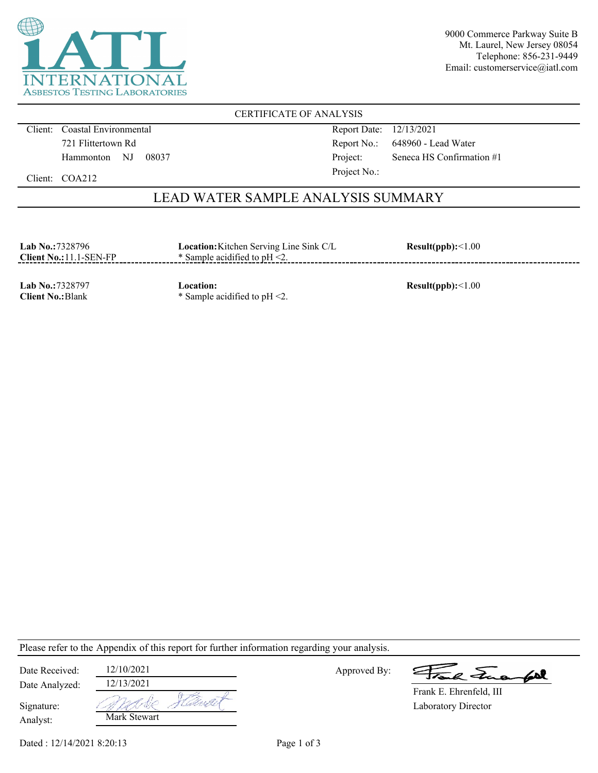

9000 Commerce Parkway Suite B Mt. Laurel, New Jersey 08054 Telephone: 856-231-9449 Email: customerservice@iatl.com

CERTIFICATE OF ANALYSIS

Client: Coastal Environmental 721 Flittertown Rd Hammonton NJ 08037 Report Date: 12/13/2021 Report No.: 648960 - Lead Water Project: Seneca HS Confirmation #1 Project No.:

Client: COA212

## LEAD WATER SAMPLE ANALYSIS SUMMARY

| <b>Lab No.:7328796</b><br>$Client No.:11.1-SEN-FP$ | <b>Location:</b> Kitchen Serving Line Sink C/L<br>$*$ Sample acidified to pH $\leq$ 2. | Result(ppb):<1.00 |
|----------------------------------------------------|----------------------------------------------------------------------------------------|-------------------|
|                                                    |                                                                                        |                   |

**Lab No.:**7328797 **Client No.:**Blank

**Location:** \* Sample acidified to pH <2.

**Result(ppb):**<1.00

Please refer to the Appendix of this report for further information regarding your analysis.

| Date Received:         | 12/10/2021   |         |
|------------------------|--------------|---------|
| Date Analyzed:         | 12/13/2021   |         |
| Signature:<br>Analyst: | Mark Stewart | Harib 1 |

Approved By:

2 Tues fort

Laboratory Director Frank E. Ehrenfeld, III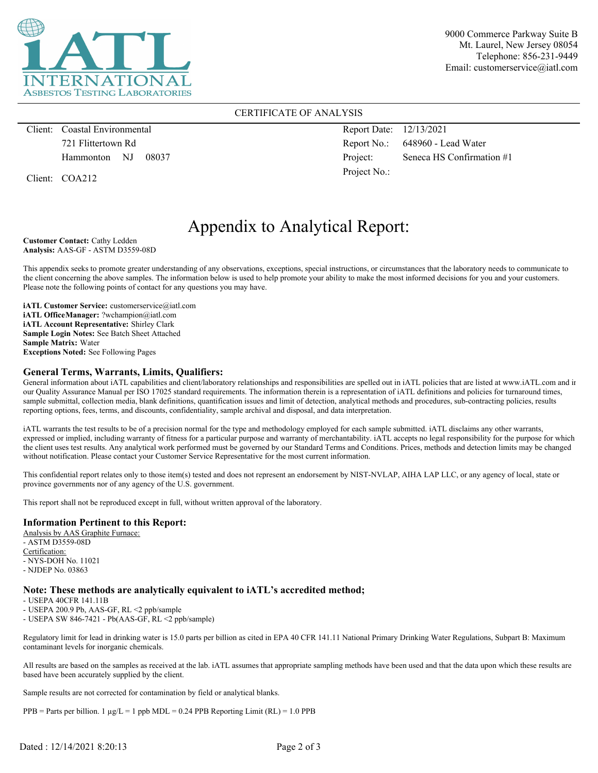

9000 Commerce Parkway Suite B Mt. Laurel, New Jersey 08054 Telephone: 856-231-9449 Email: customerservice@iatl.com

### CERTIFICATE OF ANALYSIS

Client: Coastal Environmental 721 Flittertown Rd Hammonton NJ 08037

Client: COA212

Report Date: 12/13/2021 Report No.: 648960 - Lead Water Project: Seneca HS Confirmation #1 Project No.:

# Appendix to Analytical Report:

**Customer Contact:** Cathy Ledden **Analysis:** AAS-GF - ASTM D3559-08D

This appendix seeks to promote greater understanding of any observations, exceptions, special instructions, or circumstances that the laboratory needs to communicate to the client concerning the above samples. The information below is used to help promote your ability to make the most informed decisions for you and your customers. Please note the following points of contact for any questions you may have.

**iATL Customer Service:** customerservice@iatl.com **iATL OfficeManager:** ?wchampion@iatl.com **iATL Account Representative:** Shirley Clark **Sample Login Notes:** See Batch Sheet Attached **Sample Matrix:** Water **Exceptions Noted:** See Following Pages

#### **General Terms, Warrants, Limits, Qualifiers:**

General information about iATL capabilities and client/laboratory relationships and responsibilities are spelled out in iATL policies that are listed at www.iATL.com and in our Quality Assurance Manual per ISO 17025 standard requirements. The information therein is a representation of iATL definitions and policies for turnaround times, sample submittal, collection media, blank definitions, quantification issues and limit of detection, analytical methods and procedures, sub-contracting policies, results reporting options, fees, terms, and discounts, confidentiality, sample archival and disposal, and data interpretation.

iATL warrants the test results to be of a precision normal for the type and methodology employed for each sample submitted. iATL disclaims any other warrants, expressed or implied, including warranty of fitness for a particular purpose and warranty of merchantability. iATL accepts no legal responsibility for the purpose for which the client uses test results. Any analytical work performed must be governed by our Standard Terms and Conditions. Prices, methods and detection limits may be changed without notification. Please contact your Customer Service Representative for the most current information.

This confidential report relates only to those item(s) tested and does not represent an endorsement by NIST-NVLAP, AIHA LAP LLC, or any agency of local, state or province governments nor of any agency of the U.S. government.

This report shall not be reproduced except in full, without written approval of the laboratory.

#### **Information Pertinent to this Report:**

Analysis by AAS Graphite Furnace: - ASTM D3559-08D Certification: - NYS-DOH No. 11021 - NJDEP No. 03863

#### **Note: These methods are analytically equivalent to iATL's accredited method;**

- USEPA 40CFR 141.11B

- USEPA 200.9 Pb, AAS-GF, RL <2 ppb/sample

- USEPA SW 846-7421 - Pb(AAS-GF, RL <2 ppb/sample)

Regulatory limit for lead in drinking water is 15.0 parts per billion as cited in EPA 40 CFR 141.11 National Primary Drinking Water Regulations, Subpart B: Maximum contaminant levels for inorganic chemicals.

All results are based on the samples as received at the lab. iATL assumes that appropriate sampling methods have been used and that the data upon which these results are based have been accurately supplied by the client.

Sample results are not corrected for contamination by field or analytical blanks.

PPB = Parts per billion. 1  $\mu$ g/L = 1 ppb MDL = 0.24 PPB Reporting Limit (RL) = 1.0 PPB